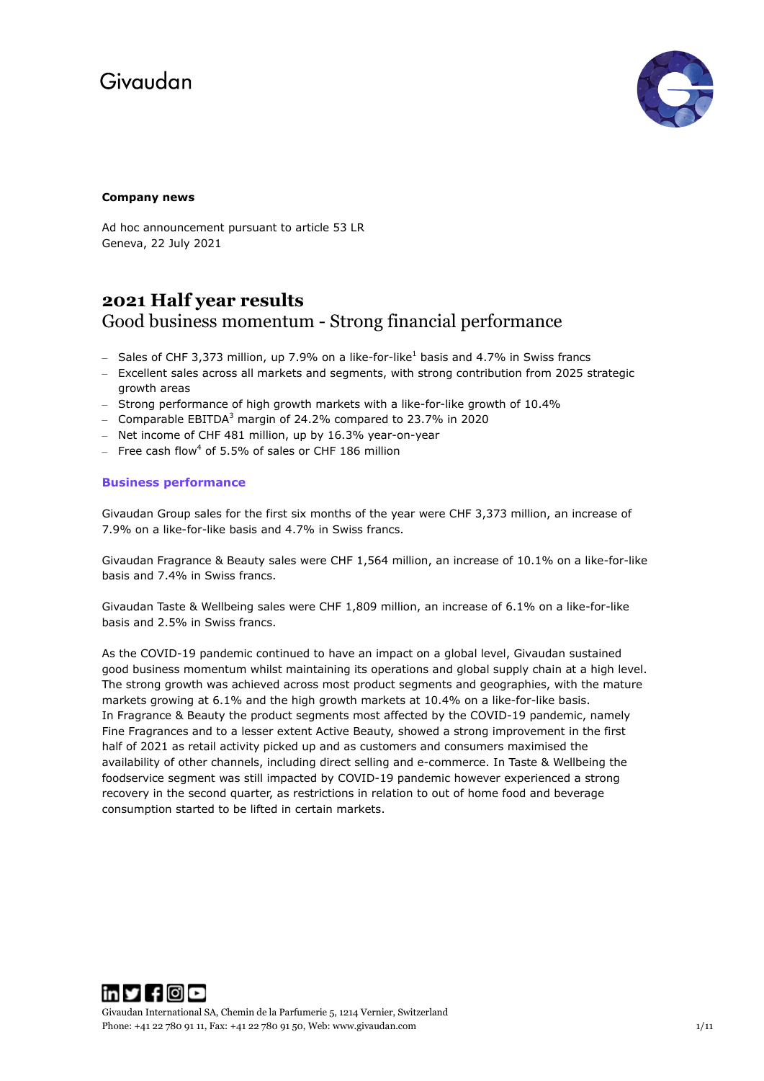

### **Company news**

Ad hoc announcement pursuant to article 53 LR Geneva, 22 July 2021

## **2021 Half year results** Good business momentum - Strong financial performance

- Sales of CHF 3,373 million, up 7.9% on a like-for-like<sup>1</sup> basis and 4.7% in Swiss francs
- Excellent sales across all markets and segments, with strong contribution from 2025 strategic growth areas
- Strong performance of high growth markets with a like-for-like growth of 10.4%
- Comparable EBITDA<sup>3</sup> margin of 24.2% compared to 23.7% in 2020
- Net income of CHF 481 million, up by 16.3% year-on-year
- $-$  Free cash flow<sup>4</sup> of 5.5% of sales or CHF 186 million

## **Business performance**

Givaudan Group sales for the first six months of the year were CHF 3,373 million, an increase of 7.9% on a like-for-like basis and 4.7% in Swiss francs.

Givaudan Fragrance & Beauty sales were CHF 1,564 million, an increase of 10.1% on a like-for-like basis and 7.4% in Swiss francs.

Givaudan Taste & Wellbeing sales were CHF 1,809 million, an increase of 6.1% on a like-for-like basis and 2.5% in Swiss francs.

As the COVID-19 pandemic continued to have an impact on a global level, Givaudan sustained good business momentum whilst maintaining its operations and global supply chain at a high level. The strong growth was achieved across most product segments and geographies, with the mature markets growing at 6.1% and the high growth markets at 10.4% on a like-for-like basis. In Fragrance & Beauty the product segments most affected by the COVID-19 pandemic, namely Fine Fragrances and to a lesser extent Active Beauty, showed a strong improvement in the first half of 2021 as retail activity picked up and as customers and consumers maximised the availability of other channels, including direct selling and e-commerce. In Taste & Wellbeing the foodservice segment was still impacted by COVID-19 pandemic however experienced a strong recovery in the second quarter, as restrictions in relation to out of home food and beverage consumption started to be lifted in certain markets.



Givaudan International SA, Chemin de la Parfumerie 5, 1214 Vernier, Switzerland Phone: +41 22 780 91 11, Fax: +41 22 780 91 50, Web[: www.givaudan.com](http://www.givaudan.com/) 1/11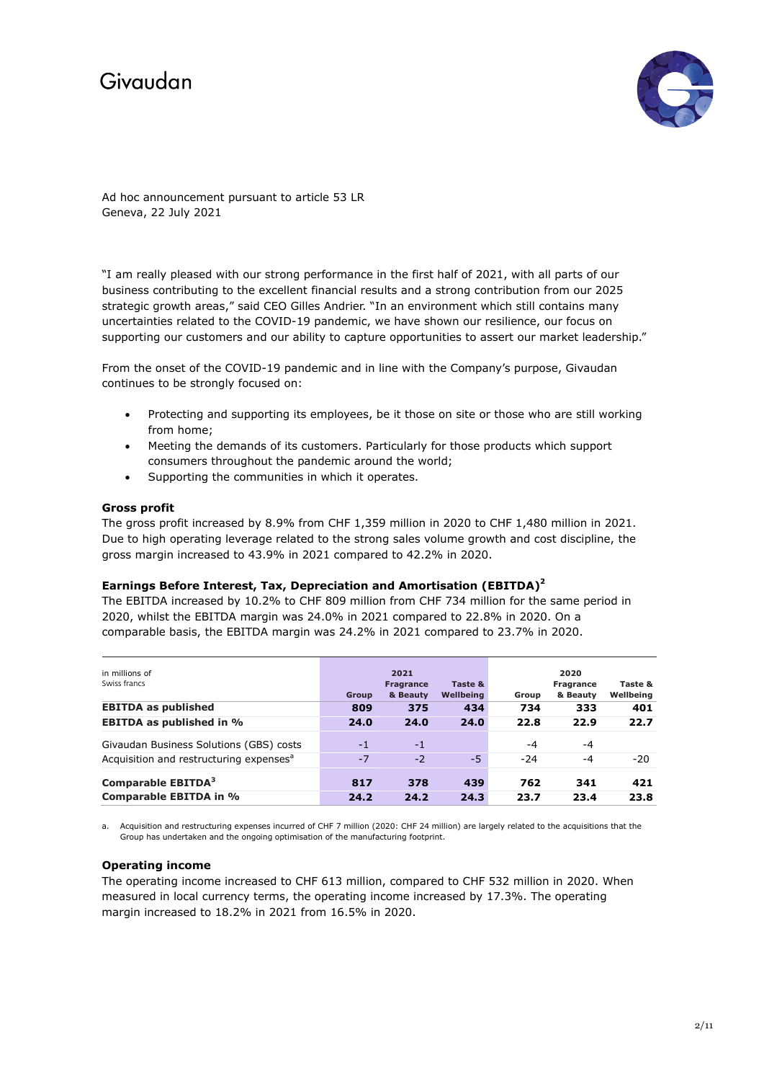

Ad hoc announcement pursuant to article 53 LR Geneva, 22 July 2021

"I am really pleased with our strong performance in the first half of 2021, with all parts of our business contributing to the excellent financial results and a strong contribution from our 2025 strategic growth areas," said CEO Gilles Andrier. "In an environment which still contains many uncertainties related to the COVID-19 pandemic, we have shown our resilience, our focus on supporting our customers and our ability to capture opportunities to assert our market leadership."

From the onset of the COVID-19 pandemic and in line with the Company's purpose, Givaudan continues to be strongly focused on:

- Protecting and supporting its employees, be it those on site or those who are still working from home;
- Meeting the demands of its customers. Particularly for those products which support consumers throughout the pandemic around the world;
- Supporting the communities in which it operates.

### **Gross profit**

The gross profit increased by 8.9% from CHF 1,359 million in 2020 to CHF 1,480 million in 2021. Due to high operating leverage related to the strong sales volume growth and cost discipline, the gross margin increased to 43.9% in 2021 compared to 42.2% in 2020.

#### **Earnings Before Interest, Tax, Depreciation and Amortisation (EBITDA)2**

The EBITDA increased by 10.2% to CHF 809 million from CHF 734 million for the same period in 2020, whilst the EBITDA margin was 24.0% in 2021 compared to 22.8% in 2020. On a comparable basis, the EBITDA margin was 24.2% in 2021 compared to 23.7% in 2020.

| in millions of<br>Swiss francs                      | <b>Group</b> | 2021<br><b>Fragrance</b><br>& Beauty | Taste &<br>Wellbeing | Group | 2020<br><b>Fragrance</b><br>& Beauty | Taste &<br>Wellbeing |
|-----------------------------------------------------|--------------|--------------------------------------|----------------------|-------|--------------------------------------|----------------------|
| <b>EBITDA as published</b>                          | 809          | 375                                  | 434                  | 734   | 333                                  | 401                  |
| <b>EBITDA as published in %</b>                     | 24.0         | 24.0                                 | 24.0                 | 22.8  | 22.9                                 | 22.7                 |
| Givaudan Business Solutions (GBS) costs             | $-1$         | $-1$                                 |                      | -4    | $-4$                                 |                      |
| Acquisition and restructuring expenses <sup>a</sup> | $-7$         | $-2$                                 | -5                   | $-24$ | $-4$                                 | $-20$                |
| Comparable EBITDA <sup>3</sup>                      | 817          | 378                                  | 439                  | 762   | 341                                  | 421                  |
| Comparable EBITDA in %                              | 24.2         | 24.2                                 | 24.3                 | 23.7  | 23.4                                 | 23.8                 |

a. Acquisition and restructuring expenses incurred of CHF 7 million (2020: CHF 24 million) are largely related to the acquisitions that the Group has undertaken and the ongoing optimisation of the manufacturing footprint.

#### **Operating income**

The operating income increased to CHF 613 million, compared to CHF 532 million in 2020. When measured in local currency terms, the operating income increased by 17.3%. The operating margin increased to 18.2% in 2021 from 16.5% in 2020.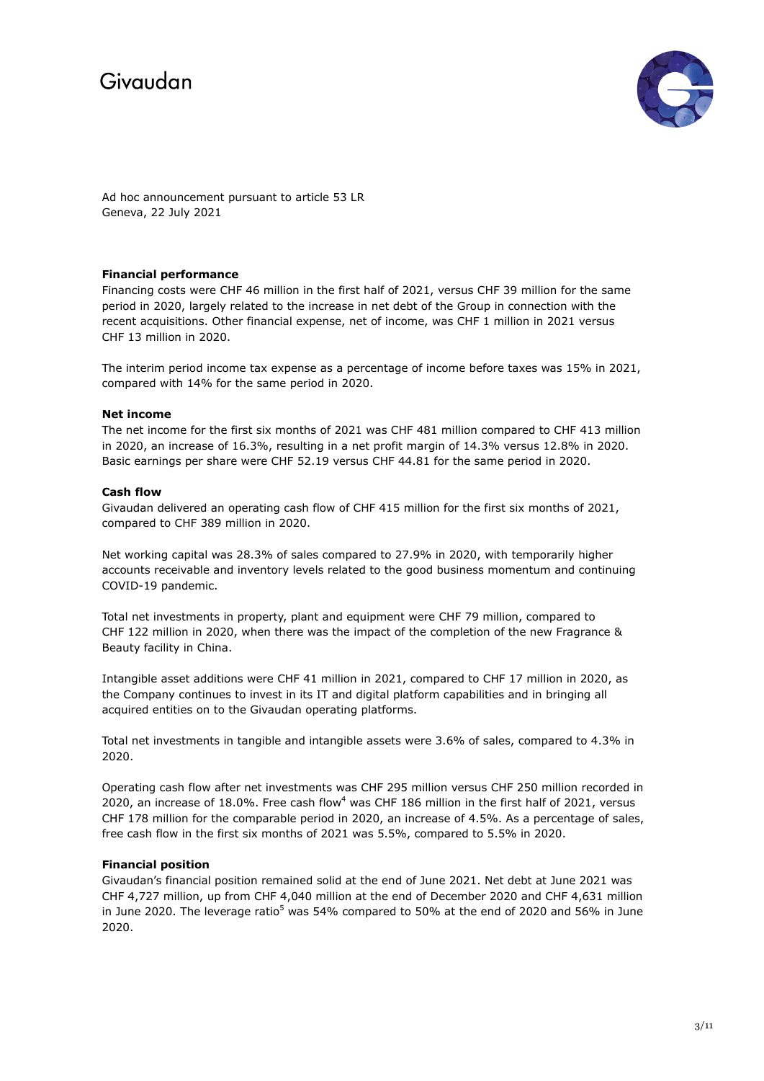

Ad hoc announcement pursuant to article 53 LR Geneva, 22 July 2021

## **Financial performance**

Financing costs were CHF 46 million in the first half of 2021, versus CHF 39 million for the same period in 2020, largely related to the increase in net debt of the Group in connection with the recent acquisitions. Other financial expense, net of income, was CHF 1 million in 2021 versus CHF 13 million in 2020.

The interim period income tax expense as a percentage of income before taxes was 15% in 2021, compared with 14% for the same period in 2020.

### **Net income**

The net income for the first six months of 2021 was CHF 481 million compared to CHF 413 million in 2020, an increase of 16.3%, resulting in a net profit margin of 14.3% versus 12.8% in 2020. Basic earnings per share were CHF 52.19 versus CHF 44.81 for the same period in 2020.

### **Cash flow**

Givaudan delivered an operating cash flow of CHF 415 million for the first six months of 2021, compared to CHF 389 million in 2020.

Net working capital was 28.3% of sales compared to 27.9% in 2020, with temporarily higher accounts receivable and inventory levels related to the good business momentum and continuing COVID-19 pandemic.

Total net investments in property, plant and equipment were CHF 79 million, compared to CHF 122 million in 2020, when there was the impact of the completion of the new Fragrance & Beauty facility in China.

Intangible asset additions were CHF 41 million in 2021, compared to CHF 17 million in 2020, as the Company continues to invest in its IT and digital platform capabilities and in bringing all acquired entities on to the Givaudan operating platforms.

Total net investments in tangible and intangible assets were 3.6% of sales, compared to 4.3% in 2020.

Operating cash flow after net investments was CHF 295 million versus CHF 250 million recorded in 2020, an increase of 18.0%. Free cash flow<sup>4</sup> was CHF 186 million in the first half of 2021, versus CHF 178 million for the comparable period in 2020, an increase of 4.5%. As a percentage of sales, free cash flow in the first six months of 2021 was 5.5%, compared to 5.5% in 2020.

## **Financial position**

Givaudan's financial position remained solid at the end of June 2021. Net debt at June 2021 was CHF 4,727 million, up from CHF 4,040 million at the end of December 2020 and CHF 4,631 million in June 2020. The leverage ratio<sup>5</sup> was 54% compared to 50% at the end of 2020 and 56% in June 2020.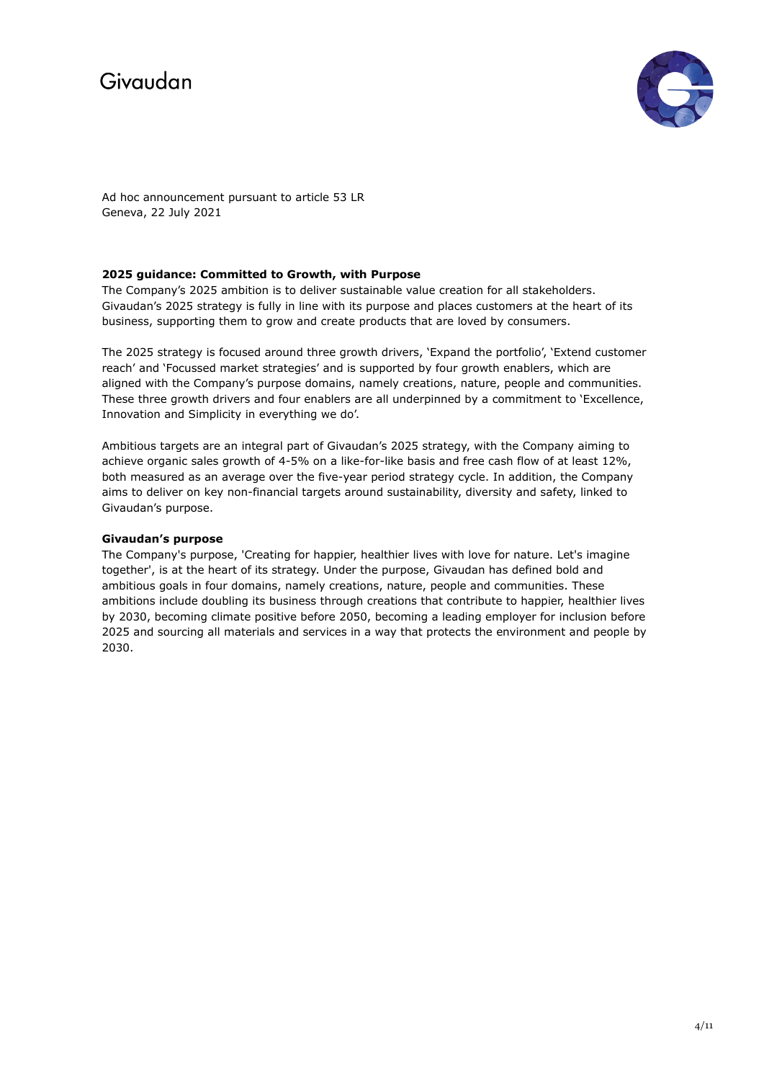

Ad hoc announcement pursuant to article 53 LR Geneva, 22 July 2021

## **2025 guidance: Committed to Growth, with Purpose**

The Company's 2025 ambition is to deliver sustainable value creation for all stakeholders. Givaudan's 2025 strategy is fully in line with its purpose and places customers at the heart of its business, supporting them to grow and create products that are loved by consumers.

The 2025 strategy is focused around three growth drivers, 'Expand the portfolio', 'Extend customer reach' and 'Focussed market strategies' and is supported by four growth enablers, which are aligned with the Company's purpose domains, namely creations, nature, people and communities. These three growth drivers and four enablers are all underpinned by a commitment to 'Excellence, Innovation and Simplicity in everything we do'.

Ambitious targets are an integral part of Givaudan's 2025 strategy, with the Company aiming to achieve organic sales growth of 4-5% on a like-for-like basis and free cash flow of at least 12%, both measured as an average over the five-year period strategy cycle. In addition, the Company aims to deliver on key non-financial targets around sustainability, diversity and safety, linked to Givaudan's purpose.

## **Givaudan's purpose**

The Company's purpose, 'Creating for happier, healthier lives with love for nature. Let's imagine together', is at the heart of its strategy. Under the purpose, Givaudan has defined bold and ambitious goals in four domains, namely creations, nature, people and communities. These ambitions include doubling its business through creations that contribute to happier, healthier lives by 2030, becoming climate positive before 2050, becoming a leading employer for inclusion before 2025 and sourcing all materials and services in a way that protects the environment and people by 2030.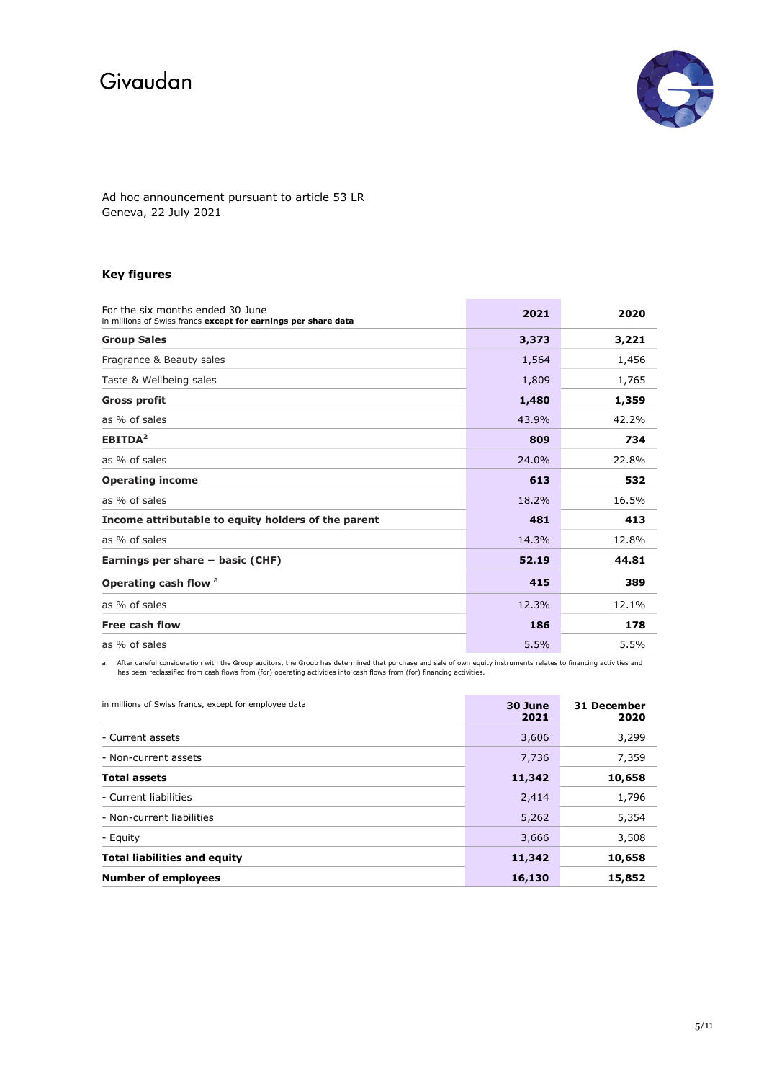

Ad hoc announcement pursuant to article 53 LR Geneva, 22 July 2021

## **Key figures**

| For the six months ended 30 June<br>in millions of Swiss francs except for earnings per share data | 2021  | 2020  |
|----------------------------------------------------------------------------------------------------|-------|-------|
| <b>Group Sales</b>                                                                                 | 3,373 | 3,221 |
| Fragrance & Beauty sales                                                                           | 1,564 | 1,456 |
| Taste & Wellbeing sales                                                                            | 1,809 | 1,765 |
| <b>Gross profit</b>                                                                                | 1,480 | 1,359 |
| as % of sales                                                                                      | 43.9% | 42.2% |
| EBITDA <sup>2</sup>                                                                                | 809   | 734   |
| as % of sales                                                                                      | 24.0% | 22.8% |
| <b>Operating income</b>                                                                            | 613   | 532   |
| as % of sales                                                                                      | 18.2% | 16.5% |
| Income attributable to equity holders of the parent                                                | 481   | 413   |
| as % of sales                                                                                      | 14.3% | 12.8% |
| Earnings per share - basic (CHF)                                                                   | 52.19 | 44.81 |
| Operating cash flow <sup>a</sup>                                                                   | 415   | 389   |
| as % of sales                                                                                      | 12.3% | 12.1% |
| Free cash flow                                                                                     | 186   | 178   |
| as % of sales                                                                                      | 5.5%  | 5.5%  |

a. After careful consideration with the Group auditors, the Group has determined that purchase and sale of own equity instruments relates to financing activities and<br>has been reclassified from cash flows from (for) operati

| in millions of Swiss francs, except for employee data | 30 June<br>2021 | 31 December<br>2020 |
|-------------------------------------------------------|-----------------|---------------------|
| - Current assets                                      | 3,606           | 3,299               |
| - Non-current assets                                  | 7,736           | 7,359               |
| <b>Total assets</b>                                   | 11,342          | 10,658              |
| - Current liabilities                                 | 2,414           | 1,796               |
| - Non-current liabilities                             | 5,262           | 5,354               |
| - Equity                                              | 3,666           | 3,508               |
| <b>Total liabilities and equity</b>                   | 11,342          | 10,658              |
| <b>Number of employees</b>                            | 16,130          | 15,852              |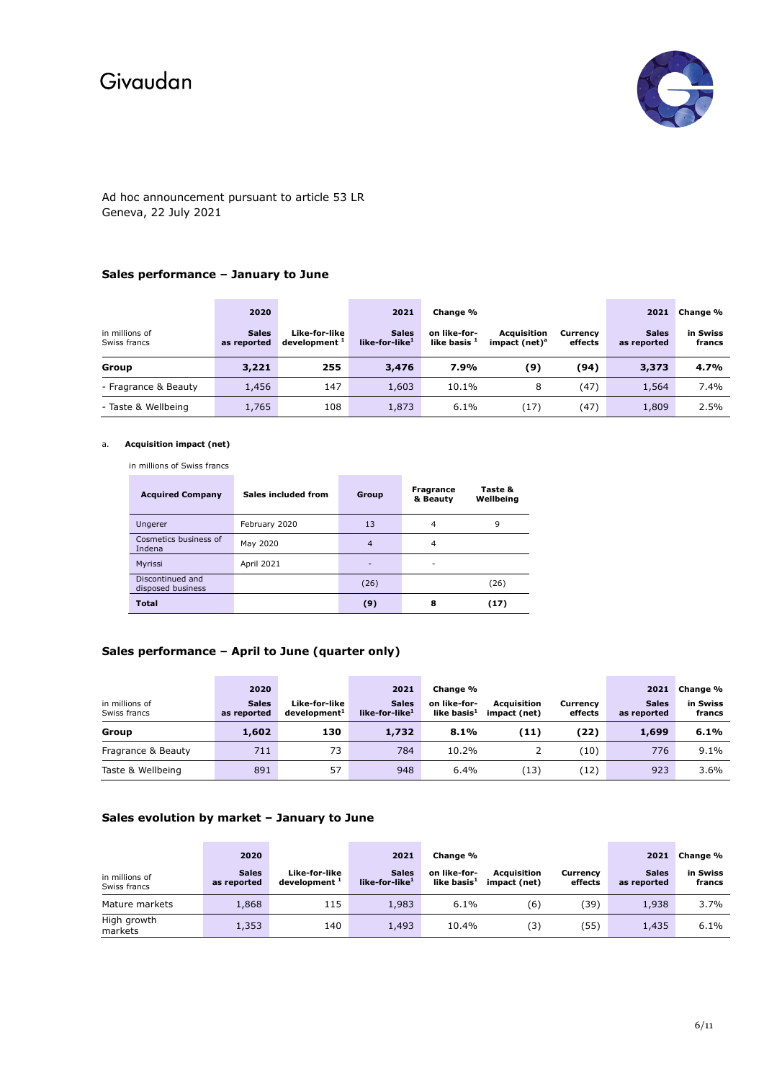

## Ad hoc announcement pursuant to article 53 LR Geneva, 22 July 2021

## **Sales performance – January to June**

| in millions of<br>Swiss francs | 2020<br><b>Sales</b><br>as reported | Like-for-like<br>development <sup>1</sup> | 2021<br><b>Sales</b><br>like-for-like <sup>1</sup> | Change %<br>on like-for-<br>like basis <sup>1</sup> | Acquisition<br>impact (net) <sup>a</sup> | Currency<br>effects | 2021<br><b>Sales</b><br>as reported | Change %<br>in Swiss<br>francs |
|--------------------------------|-------------------------------------|-------------------------------------------|----------------------------------------------------|-----------------------------------------------------|------------------------------------------|---------------------|-------------------------------------|--------------------------------|
| Group                          | 3,221                               | 255                                       | 3,476                                              | 7.9%                                                | (9)                                      | (94)                | 3,373                               | 4.7%                           |
| - Fragrance & Beauty           | 1,456                               | 147                                       | 1,603                                              | 10.1%                                               | 8                                        | (47)                | 1,564                               | 7.4%                           |
| - Taste & Wellbeing            | 1,765                               | 108                                       | 1,873                                              | 6.1%                                                | (17)                                     | (47)                | 1,809                               | 2.5%                           |

#### a. **Acquisition impact (net)**

in millions of Swiss francs

| <b>Acquired Company</b>               | Sales included from | Group          | <b>Fragrance</b><br>& Beauty | Taste &<br>Wellbeing |
|---------------------------------------|---------------------|----------------|------------------------------|----------------------|
| Ungerer                               | February 2020       | 13             | 4                            | 9                    |
| Cosmetics business of<br>Indena       | May 2020            | $\overline{4}$ | 4                            |                      |
| Myrissi                               | April 2021          | -              | -                            |                      |
| Discontinued and<br>disposed business |                     | (26)           |                              | (26)                 |
| <b>Total</b>                          |                     | (9)            | 8                            | (17)                 |

## **Sales performance – April to June (quarter only)**

| in millions of<br>Swiss francs | 2020<br><b>Sales</b><br>as reported | Like-for-like<br>development <sup>1</sup> | 2021<br><b>Sales</b><br>like-for-like <sup>1</sup> | Change %<br>on like-for-<br>like basis $^1$ | <b>Acquisition</b><br>impact (net) | Currency<br>effects | 2021<br><b>Sales</b><br>as reported | Change %<br>in Swiss<br>francs |
|--------------------------------|-------------------------------------|-------------------------------------------|----------------------------------------------------|---------------------------------------------|------------------------------------|---------------------|-------------------------------------|--------------------------------|
| Group                          | 1,602                               | 130                                       | 1,732                                              | 8.1%                                        | (11)                               | (22)                | 1,699                               | 6.1%                           |
| Fragrance & Beauty             | 711                                 | 73                                        | 784                                                | 10.2%                                       |                                    | (10)                | 776                                 | 9.1%                           |
| Taste & Wellbeing              | 891                                 | 57                                        | 948                                                | 6.4%                                        | 13)                                | (12)                | 923                                 | $3.6\%$                        |

## **Sales evolution by market – January to June**

| in millions of<br>Swiss francs | 2020<br><b>Sales</b><br>as reported | Like-for-like<br>development <sup>1</sup> | 2021<br><b>Sales</b><br>like-for-like <sup>1</sup> | Change %<br>on like-for-<br>like basis $^1$ | <b>Acquisition</b><br>impact (net) | Currencv<br>effects | 2021<br><b>Sales</b><br>as reported | Change %<br>in Swiss<br>francs |
|--------------------------------|-------------------------------------|-------------------------------------------|----------------------------------------------------|---------------------------------------------|------------------------------------|---------------------|-------------------------------------|--------------------------------|
| Mature markets                 | 1,868                               | 115                                       | 1,983                                              | 6.1%                                        | (6)                                | (39)                | 1,938                               | 3.7%                           |
| High growth<br>markets         | 1,353                               | 140                                       | 1,493                                              | 10.4%                                       | (3)                                | (55)                | 1,435                               | 6.1%                           |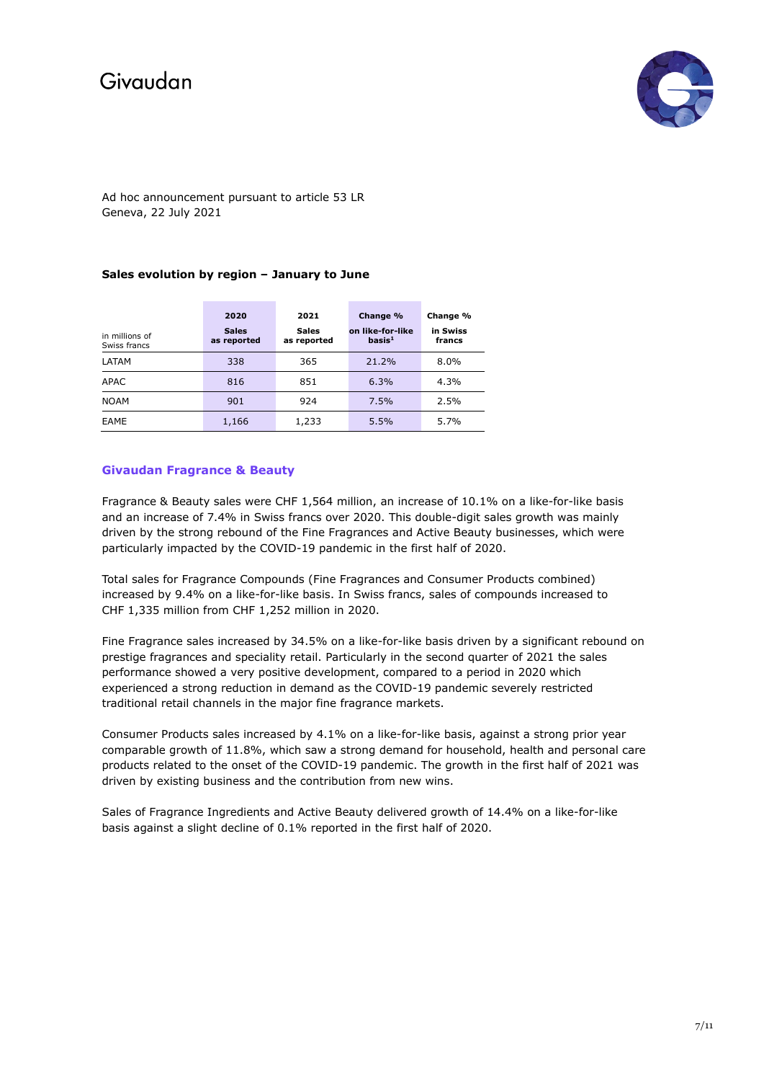

Ad hoc announcement pursuant to article 53 LR Geneva, 22 July 2021

### **Sales evolution by region – January to June**

| in millions of<br>Swiss francs | 2020<br><b>Sales</b><br>as reported | 2021<br><b>Sales</b><br>as reported | Change %<br>on like-for-like<br>basis <sup>1</sup> | Change %<br>in Swiss<br>francs |
|--------------------------------|-------------------------------------|-------------------------------------|----------------------------------------------------|--------------------------------|
| LATAM                          | 338                                 | 365                                 | 21.2%                                              | $8.0\%$                        |
| <b>APAC</b>                    | 816                                 | 851                                 | 6.3%                                               | 4.3%                           |
| <b>NOAM</b>                    | 901                                 | 924                                 | 7.5%                                               | 2.5%                           |
| EAME                           | 1,166                               | 1,233                               | 5.5%                                               | 5.7%                           |

### **Givaudan Fragrance & Beauty**

Fragrance & Beauty sales were CHF 1,564 million, an increase of 10.1% on a like-for-like basis and an increase of 7.4% in Swiss francs over 2020. This double-digit sales growth was mainly driven by the strong rebound of the Fine Fragrances and Active Beauty businesses, which were particularly impacted by the COVID-19 pandemic in the first half of 2020.

Total sales for Fragrance Compounds (Fine Fragrances and Consumer Products combined) increased by 9.4% on a like-for-like basis. In Swiss francs, sales of compounds increased to CHF 1,335 million from CHF 1,252 million in 2020.

Fine Fragrance sales increased by 34.5% on a like-for-like basis driven by a significant rebound on prestige fragrances and speciality retail. Particularly in the second quarter of 2021 the sales performance showed a very positive development, compared to a period in 2020 which experienced a strong reduction in demand as the COVID-19 pandemic severely restricted traditional retail channels in the major fine fragrance markets.

Consumer Products sales increased by 4.1% on a like-for-like basis, against a strong prior year comparable growth of 11.8%, which saw a strong demand for household, health and personal care products related to the onset of the COVID-19 pandemic. The growth in the first half of 2021 was driven by existing business and the contribution from new wins.

Sales of Fragrance Ingredients and Active Beauty delivered growth of 14.4% on a like-for-like basis against a slight decline of 0.1% reported in the first half of 2020.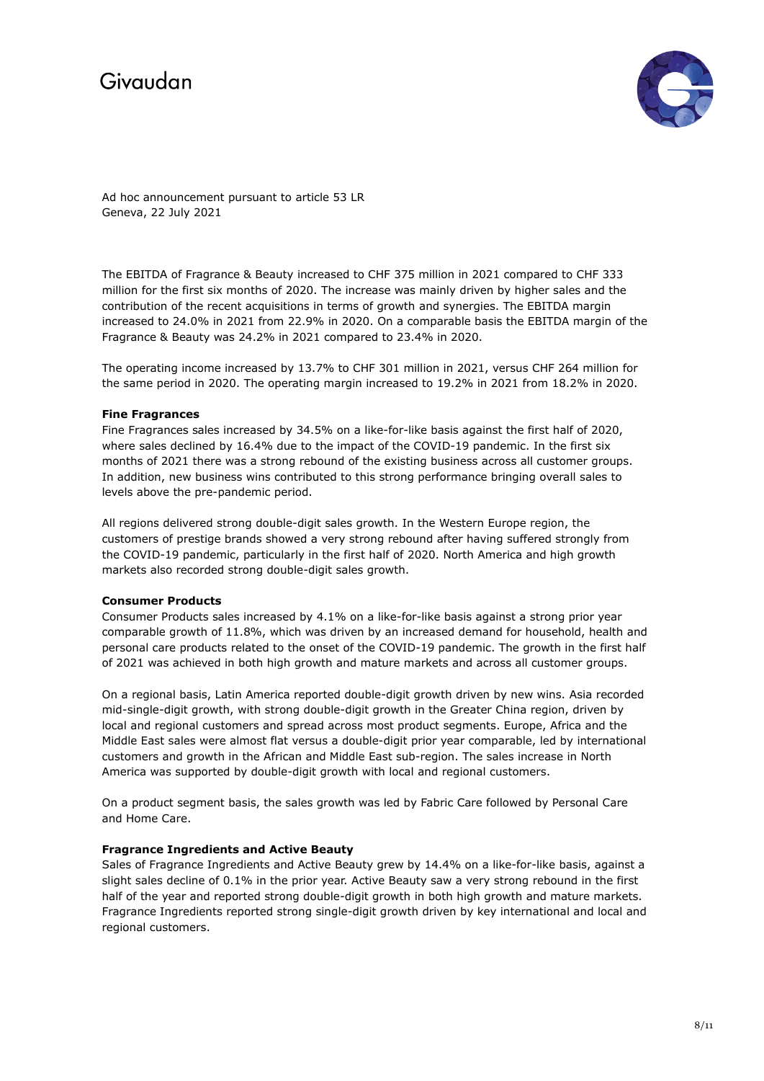

Ad hoc announcement pursuant to article 53 LR Geneva, 22 July 2021

The EBITDA of Fragrance & Beauty increased to CHF 375 million in 2021 compared to CHF 333 million for the first six months of 2020. The increase was mainly driven by higher sales and the contribution of the recent acquisitions in terms of growth and synergies. The EBITDA margin increased to 24.0% in 2021 from 22.9% in 2020. On a comparable basis the EBITDA margin of the Fragrance & Beauty was 24.2% in 2021 compared to 23.4% in 2020.

The operating income increased by 13.7% to CHF 301 million in 2021, versus CHF 264 million for the same period in 2020. The operating margin increased to 19.2% in 2021 from 18.2% in 2020.

### **Fine Fragrances**

Fine Fragrances sales increased by 34.5% on a like-for-like basis against the first half of 2020, where sales declined by 16.4% due to the impact of the COVID-19 pandemic. In the first six months of 2021 there was a strong rebound of the existing business across all customer groups. In addition, new business wins contributed to this strong performance bringing overall sales to levels above the pre-pandemic period.

All regions delivered strong double-digit sales growth. In the Western Europe region, the customers of prestige brands showed a very strong rebound after having suffered strongly from the COVID-19 pandemic, particularly in the first half of 2020. North America and high growth markets also recorded strong double-digit sales growth.

## **Consumer Products**

Consumer Products sales increased by 4.1% on a like-for-like basis against a strong prior year comparable growth of 11.8%, which was driven by an increased demand for household, health and personal care products related to the onset of the COVID-19 pandemic. The growth in the first half of 2021 was achieved in both high growth and mature markets and across all customer groups.

On a regional basis, Latin America reported double-digit growth driven by new wins. Asia recorded mid-single-digit growth, with strong double-digit growth in the Greater China region, driven by local and regional customers and spread across most product segments. Europe, Africa and the Middle East sales were almost flat versus a double-digit prior year comparable, led by international customers and growth in the African and Middle East sub-region. The sales increase in North America was supported by double-digit growth with local and regional customers.

On a product segment basis, the sales growth was led by Fabric Care followed by Personal Care and Home Care.

## **Fragrance Ingredients and Active Beauty**

Sales of Fragrance Ingredients and Active Beauty grew by 14.4% on a like-for-like basis, against a slight sales decline of 0.1% in the prior year. Active Beauty saw a very strong rebound in the first half of the year and reported strong double-digit growth in both high growth and mature markets. Fragrance Ingredients reported strong single-digit growth driven by key international and local and regional customers.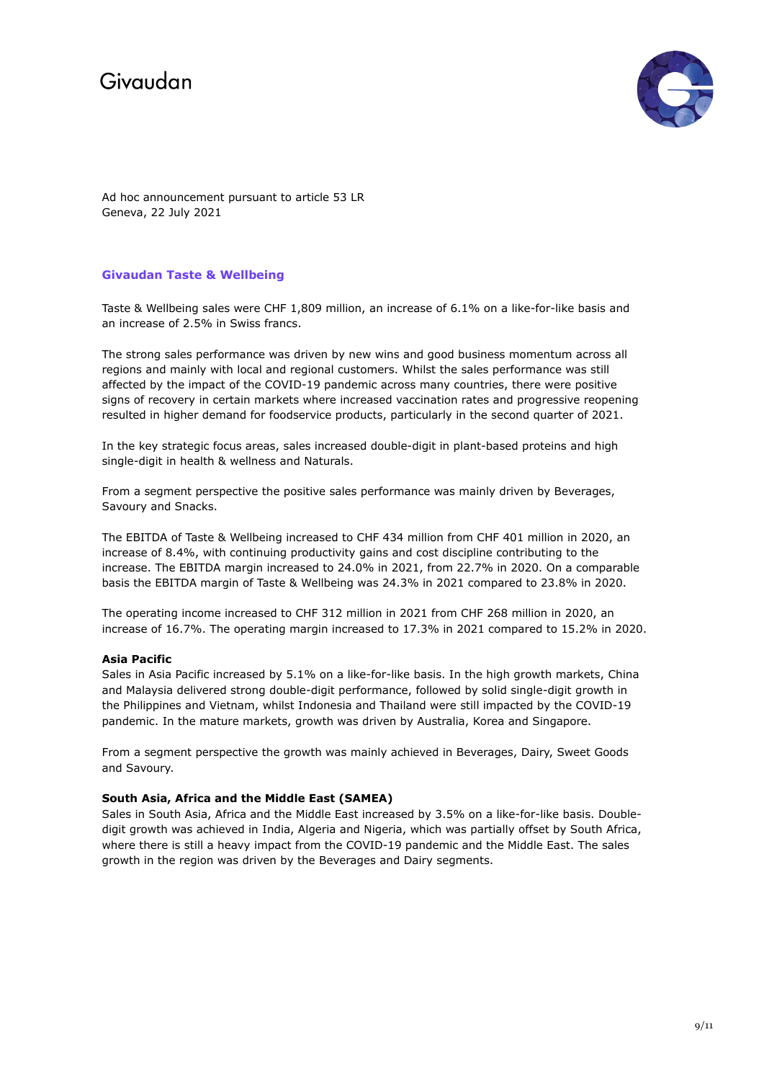

Ad hoc announcement pursuant to article 53 LR Geneva, 22 July 2021

## **Givaudan Taste & Wellbeing**

Taste & Wellbeing sales were CHF 1,809 million, an increase of 6.1% on a like-for-like basis and an increase of 2.5% in Swiss francs.

The strong sales performance was driven by new wins and good business momentum across all regions and mainly with local and regional customers. Whilst the sales performance was still affected by the impact of the COVID-19 pandemic across many countries, there were positive signs of recovery in certain markets where increased vaccination rates and progressive reopening resulted in higher demand for foodservice products, particularly in the second quarter of 2021.

In the key strategic focus areas, sales increased double-digit in plant-based proteins and high single-digit in health & wellness and Naturals.

From a segment perspective the positive sales performance was mainly driven by Beverages, Savoury and Snacks.

The EBITDA of Taste & Wellbeing increased to CHF 434 million from CHF 401 million in 2020, an increase of 8.4%, with continuing productivity gains and cost discipline contributing to the increase. The EBITDA margin increased to 24.0% in 2021, from 22.7% in 2020. On a comparable basis the EBITDA margin of Taste & Wellbeing was 24.3% in 2021 compared to 23.8% in 2020.

The operating income increased to CHF 312 million in 2021 from CHF 268 million in 2020, an increase of 16.7%. The operating margin increased to 17.3% in 2021 compared to 15.2% in 2020.

#### **Asia Pacific**

Sales in Asia Pacific increased by 5.1% on a like-for-like basis. In the high growth markets, China and Malaysia delivered strong double-digit performance, followed by solid single-digit growth in the Philippines and Vietnam, whilst Indonesia and Thailand were still impacted by the COVID-19 pandemic. In the mature markets, growth was driven by Australia, Korea and Singapore.

From a segment perspective the growth was mainly achieved in Beverages, Dairy, Sweet Goods and Savoury.

#### **South Asia, Africa and the Middle East (SAMEA)**

Sales in South Asia, Africa and the Middle East increased by 3.5% on a like-for-like basis. Doubledigit growth was achieved in India, Algeria and Nigeria, which was partially offset by South Africa, where there is still a heavy impact from the COVID-19 pandemic and the Middle East. The sales growth in the region was driven by the Beverages and Dairy segments.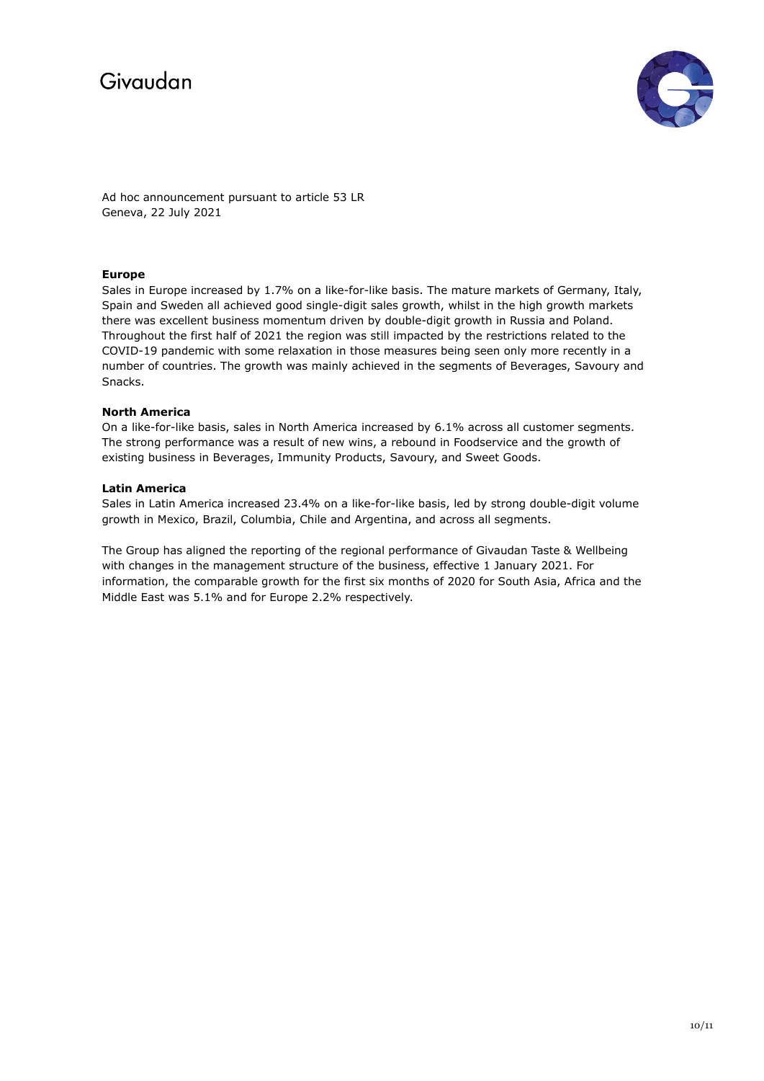



Ad hoc announcement pursuant to article 53 LR Geneva, 22 July 2021

## **Europe**

Sales in Europe increased by 1.7% on a like-for-like basis. The mature markets of Germany, Italy, Spain and Sweden all achieved good single-digit sales growth, whilst in the high growth markets there was excellent business momentum driven by double-digit growth in Russia and Poland. Throughout the first half of 2021 the region was still impacted by the restrictions related to the COVID-19 pandemic with some relaxation in those measures being seen only more recently in a number of countries. The growth was mainly achieved in the segments of Beverages, Savoury and Snacks.

### **North America**

On a like-for-like basis, sales in North America increased by 6.1% across all customer segments. The strong performance was a result of new wins, a rebound in Foodservice and the growth of existing business in Beverages, Immunity Products, Savoury, and Sweet Goods.

### **Latin America**

Sales in Latin America increased 23.4% on a like-for-like basis, led by strong double-digit volume growth in Mexico, Brazil, Columbia, Chile and Argentina, and across all segments.

The Group has aligned the reporting of the regional performance of Givaudan Taste & Wellbeing with changes in the management structure of the business, effective 1 January 2021. For information, the comparable growth for the first six months of 2020 for South Asia, Africa and the Middle East was 5.1% and for Europe 2.2% respectively.